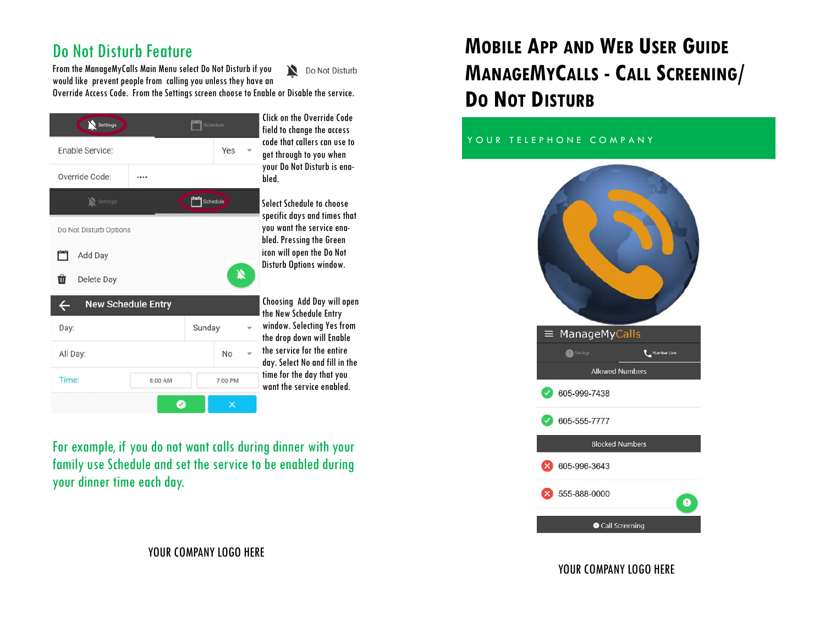# Do Not Disturb Feature

From the ManageMyCalls Main Menu select Do Not Disturb if you Do Not Disturb would like prevent people from calling you unless they have an Override Access Code. From the Settings screen choose to Enable or Disable the service.



For example, if you do not want calls during dinner with your family use Schedule and set the service to be enabled during your dinner time each day.

#### YOUR COMPANY LOGO HERE

# **MOBILE APP AND WEB USER GUIDE MANAGEMYCALLS - CALL SCREENING/ DO NOT DISTURB**

#### YOUR TELEPHONE COMPANY



#### YOUR COMPANY LOGO HERE